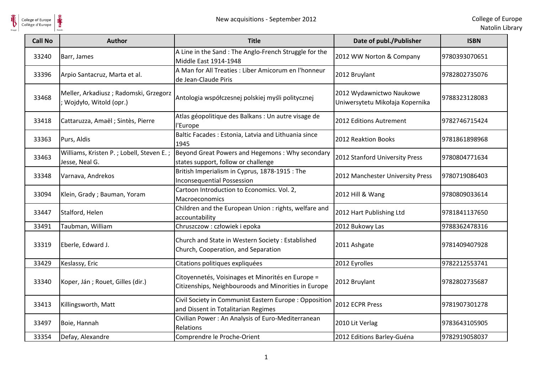

**单** 

| <b>Call No</b> | <b>Author</b>                                                   | <b>Title</b>                                                                                              | Date of publ./Publisher                                     | <b>ISBN</b>   |
|----------------|-----------------------------------------------------------------|-----------------------------------------------------------------------------------------------------------|-------------------------------------------------------------|---------------|
| 33240          | Barr, James                                                     | A Line in the Sand: The Anglo-French Struggle for the<br>Middle East 1914-1948                            | 2012 WW Norton & Company                                    | 9780393070651 |
| 33396          | Arpio Santacruz, Marta et al.                                   | A Man for All Treaties : Liber Amicorum en l'honneur<br>de Jean-Claude Piris                              | 2012 Bruylant                                               | 9782802735076 |
| 33468          | Meller, Arkadiusz; Radomski, Grzegorz<br>Wojdyło, Witold (opr.) | Antologia współczesnej polskiej myśli politycznej                                                         | 2012 Wydawnictwo Naukowe<br>Uniwersytetu Mikołaja Kopernika | 9788323128083 |
| 33418          | Cattaruzza, Amaël ; Sintès, Pierre                              | Atlas géopolitique des Balkans : Un autre visage de<br>l'Europe                                           | 2012 Editions Autrement                                     | 9782746715424 |
| 33363          | Purs, Aldis                                                     | Baltic Facades: Estonia, Latvia and Lithuania since<br>1945                                               | 2012 Reaktion Books                                         | 9781861898968 |
| 33463          | Williams, Kristen P.; Lobell, Steven E.;<br>Jesse, Neal G.      | Beyond Great Powers and Hegemons: Why secondary<br>states support, follow or challenge                    | 2012 Stanford University Press                              | 9780804771634 |
| 33348          | Varnava, Andrekos                                               | British Imperialism in Cyprus, 1878-1915 : The<br><b>Inconsequential Possession</b>                       | 2012 Manchester University Press                            | 9780719086403 |
| 33094          | Klein, Grady; Bauman, Yoram                                     | Cartoon Introduction to Economics. Vol. 2,<br>Macroeconomics                                              | 2012 Hill & Wang                                            | 9780809033614 |
| 33447          | Stalford, Helen                                                 | Children and the European Union : rights, welfare and<br>accountability                                   | 2012 Hart Publishing Ltd                                    | 9781841137650 |
| 33491          | Taubman, William                                                | Chruszczow : człowiek i epoka                                                                             | 2012 Bukowy Las                                             | 9788362478316 |
| 33319          | Eberle, Edward J.                                               | Church and State in Western Society: Established<br>Church, Cooperation, and Separation                   | 2011 Ashgate                                                | 9781409407928 |
| 33429          | Keslassy, Eric                                                  | Citations politiques expliquées                                                                           | 2012 Eyrolles                                               | 9782212553741 |
| 33340          | Koper, Ján; Rouet, Gilles (dir.)                                | Citoyennetés, Voisinages et Minorités en Europe =<br>Citizenships, Neighbouroods and Minorities in Europe | 2012 Bruylant                                               | 9782802735687 |
| 33413          | Killingsworth, Matt                                             | Civil Society in Communist Eastern Europe: Opposition<br>and Dissent in Totalitarian Regimes              | 2012 ECPR Press                                             | 9781907301278 |
| 33497          | Boie, Hannah                                                    | Civilian Power: An Analysis of Euro-Mediterranean<br>Relations                                            | 2010 Lit Verlag                                             | 9783643105905 |
| 33354          | Defay, Alexandre                                                | Comprendre le Proche-Orient                                                                               | 2012 Editions Barley-Guéna                                  | 9782919058037 |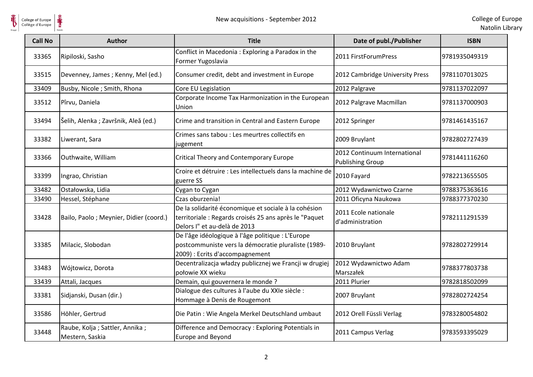

| <b>Call No</b> | Author                                            | <b>Title</b>                                                                                                                                   | Date of publ./Publisher                                 | <b>ISBN</b>   |
|----------------|---------------------------------------------------|------------------------------------------------------------------------------------------------------------------------------------------------|---------------------------------------------------------|---------------|
| 33365          | Ripiloski, Sasho                                  | Conflict in Macedonia: Exploring a Paradox in the<br>Former Yugoslavia                                                                         | 2011 FirstForumPress                                    | 9781935049319 |
| 33515          | Devenney, James; Kenny, Mel (ed.)                 | Consumer credit, debt and investment in Europe                                                                                                 | 2012 Cambridge University Press                         | 9781107013025 |
| 33409          | Busby, Nicole ; Smith, Rhona                      | Core EU Legislation                                                                                                                            | 2012 Palgrave                                           | 9781137022097 |
| 33512          | Pîrvu, Daniela                                    | Corporate Income Tax Harmonization in the European<br>Union                                                                                    | 2012 Palgrave Macmillan                                 | 9781137000903 |
| 33494          | Šelih, Alenka ; Završnik, Aleă (ed.)              | Crime and transition in Central and Eastern Europe                                                                                             | 2012 Springer                                           | 9781461435167 |
| 33382          | Liwerant, Sara                                    | Crimes sans tabou : Les meurtres collectifs en<br>jugement                                                                                     | 2009 Bruylant                                           | 9782802727439 |
| 33366          | Outhwaite, William                                | <b>Critical Theory and Contemporary Europe</b>                                                                                                 | 2012 Continuum International<br><b>Publishing Group</b> | 9781441116260 |
| 33399          | Ingrao, Christian                                 | Croire et détruire : Les intellectuels dans la machine de<br>guerre SS                                                                         | 2010 Fayard                                             | 9782213655505 |
| 33482          | Ostałowska, Lidia                                 | Cygan to Cygan                                                                                                                                 | 2012 Wydawnictwo Czarne                                 | 9788375363616 |
| 33490          | Hessel, Stéphane                                  | Czas oburzenia!                                                                                                                                | 2011 Oficyna Naukowa                                    | 9788377370230 |
| 33428          | Bailo, Paolo; Meynier, Didier (coord.)            | De la solidarité économique et sociale à la cohésion<br>territoriale : Regards croisés 25 ans après le "Paquet<br>Delors I" et au-delà de 2013 | 2011 Ecole nationale<br>d'administration                | 9782111291539 |
| 33385          | Milacic, Slobodan                                 | De l'âge idéologique à l'âge politique : L'Europe<br>postcommuniste vers la démocratie pluraliste (1989-<br>2009) : Ecrits d'accompagnement    | 2010 Bruylant                                           | 9782802729914 |
| 33483          | Wójtowicz, Dorota                                 | Decentralizacja władzy publicznej we Francji w drugiej<br>połowie XX wieku                                                                     | 2012 Wydawnictwo Adam<br>Marszałek                      | 9788377803738 |
| 33439          | Attali, Jacques                                   | Demain, qui gouvernera le monde ?                                                                                                              | 2011 Plurier                                            | 9782818502099 |
| 33381          | Sidjanski, Dusan (dir.)                           | Dialogue des cultures à l'aube du XXIe siècle :<br>Hommage à Denis de Rougemont                                                                | 2007 Bruylant                                           | 9782802724254 |
| 33586          | Höhler, Gertrud                                   | Die Patin: Wie Angela Merkel Deutschland umbaut                                                                                                | 2012 Orell Füssli Verlag                                | 9783280054802 |
| 33448          | Raube, Kolja; Sattler, Annika;<br>Mestern, Saskia | Difference and Democracy : Exploring Potentials in<br>Europe and Beyond                                                                        | 2011 Campus Verlag                                      | 9783593395029 |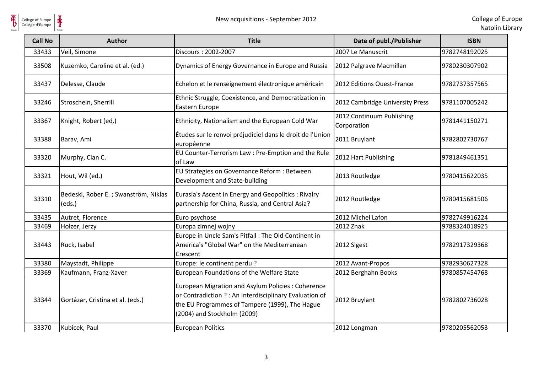

**单** 

| <b>Call No</b> | <b>Author</b>                                  | <b>Title</b>                                                                                                                                                                                  | Date of publ./Publisher                  | <b>ISBN</b>   |
|----------------|------------------------------------------------|-----------------------------------------------------------------------------------------------------------------------------------------------------------------------------------------------|------------------------------------------|---------------|
| 33433          | Veil, Simone                                   | Discours: 2002-2007                                                                                                                                                                           | 2007 Le Manuscrit                        | 9782748192025 |
| 33508          | Kuzemko, Caroline et al. (ed.)                 | Dynamics of Energy Governance in Europe and Russia                                                                                                                                            | 2012 Palgrave Macmillan                  | 9780230307902 |
| 33437          | Delesse, Claude                                | Echelon et le renseignement électronique américain                                                                                                                                            | 2012 Editions Ouest-France               | 9782737357565 |
| 33246          | Stroschein, Sherrill                           | Ethnic Struggle, Coexistence, and Democratization in<br>Eastern Europe                                                                                                                        | 2012 Cambridge University Press          | 9781107005242 |
| 33367          | Knight, Robert (ed.)                           | Ethnicity, Nationalism and the European Cold War                                                                                                                                              | 2012 Continuum Publishing<br>Corporation | 9781441150271 |
| 33388          | Barav, Ami                                     | Études sur le renvoi préjudiciel dans le droit de l'Union<br>européenne                                                                                                                       | 2011 Bruylant                            | 9782802730767 |
| 33320          | Murphy, Cian C.                                | EU Counter-Terrorism Law : Pre-Emption and the Rule<br>of Law                                                                                                                                 | 2012 Hart Publishing                     | 9781849461351 |
| 33321          | Hout, Wil (ed.)                                | EU Strategies on Governance Reform : Between<br>Development and State-building                                                                                                                | 2013 Routledge                           | 9780415622035 |
| 33310          | Bedeski, Rober E.; Swanström, Niklas<br>(eds.) | Eurasia's Ascent in Energy and Geopolitics: Rivalry<br>partnership for China, Russia, and Central Asia?                                                                                       | 2012 Routledge                           | 9780415681506 |
| 33435          | Autret, Florence                               | Euro psychose                                                                                                                                                                                 | 2012 Michel Lafon                        | 9782749916224 |
| 33469          | Holzer, Jerzy                                  | Europa zimnej wojny                                                                                                                                                                           | 2012 Znak                                | 9788324018925 |
| 33443          | Ruck, Isabel                                   | Europe in Uncle Sam's Pitfall : The Old Continent in<br>America's "Global War" on the Mediterranean<br>Crescent                                                                               | 2012 Sigest                              | 9782917329368 |
| 33380          | Maystadt, Philippe                             | Europe: le continent perdu ?                                                                                                                                                                  | 2012 Avant-Propos                        | 9782930627328 |
| 33369          | Kaufmann, Franz-Xaver                          | European Foundations of the Welfare State                                                                                                                                                     | 2012 Berghahn Books                      | 9780857454768 |
| 33344          | Gortázar, Cristina et al. (eds.)               | European Migration and Asylum Policies: Coherence<br>or Contradiction ? : An Interdisciplinary Evaluation of<br>the EU Programmes of Tampere (1999), The Hague<br>(2004) and Stockholm (2009) | 2012 Bruylant                            | 9782802736028 |
| 33370          | Kubicek, Paul                                  | <b>European Politics</b>                                                                                                                                                                      | 2012 Longman                             | 9780205562053 |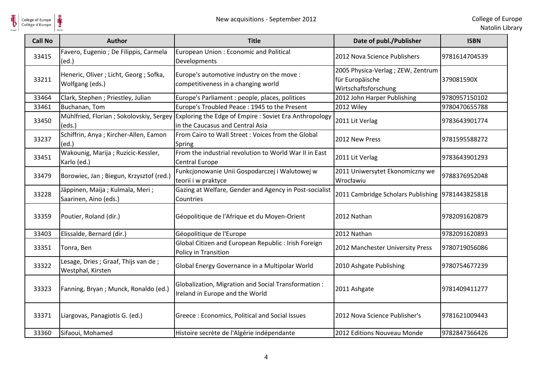

| <b>Call No</b> | Author                                                     | <b>Title</b>                                                                               | Date of publ./Publisher                                                       | <b>ISBN</b>   |
|----------------|------------------------------------------------------------|--------------------------------------------------------------------------------------------|-------------------------------------------------------------------------------|---------------|
| 33415          | Favero, Eugenio ; De Filippis, Carmela<br>(ed.)            | European Union: Economic and Political<br>Developments                                     | 2012 Nova Science Publishers                                                  | 9781614704539 |
| 33211          | Heneric, Oliver ; Licht, Georg ; Sofka,<br>Wolfgang (eds.) | Europe's automotive industry on the move :<br>competitiveness in a changing world          | 2005 Physica-Verlag ; ZEW, Zentrum<br>für Europäische<br>Wirtschaftsforschung | 379081590X    |
| 33464          | Clark, Stephen; Priestley, Julian                          | Europe's Parliament : people, places, politices                                            | 2012 John Harper Publishing                                                   | 9780957150102 |
| 33461          | Buchanan, Tom                                              | Europe's Troubled Peace: 1945 to the Present                                               | 2012 Wiley                                                                    | 9780470655788 |
| 33450          | Mühlfried, Florian ; Sokolovskiy, Sergey<br>(eds.)         | Exploring the Edge of Empire : Soviet Era Anthropology<br>in the Caucasus and Central Asia | 2011 Lit Verlag                                                               | 9783643901774 |
| 33237          | Schiffrin, Anya ; Kircher-Allen, Eamon<br>(ed.)            | From Cairo to Wall Street: Voices from the Global<br>Spring                                | 2012 New Press                                                                | 9781595588272 |
| 33451          | Wakounig, Marija; Ruzicic-Kessler,<br>Karlo (ed.)          | From the industrial revolution to World War II in East<br><b>Central Europe</b>            | 2011 Lit Verlag                                                               | 9783643901293 |
| 33479          | Borowiec, Jan; Biegun, Krzysztof (red.)                    | Funkcjonowanie Unii Gospodarczej i Walutowej w<br>teorii i w praktyce                      | 2011 Uniwersytet Ekonomiczny we<br>Wrocławiu                                  | 9788376952048 |
| 33228          | Jäppinen, Maija; Kulmala, Meri;<br>Saarinen, Aino (eds.)   | Gazing at Welfare, Gender and Agency in Post-socialist<br>Countries                        | 2011 Cambridge Scholars Publishing 9781443825818                              |               |
| 33359          | Poutier, Roland (dir.)                                     | Géopolitique de l'Afrique et du Moyen-Orient                                               | 2012 Nathan                                                                   | 9782091620879 |
| 33403          | Elissalde, Bernard (dir.)                                  | Géopolitique de l'Europe                                                                   | 2012 Nathan                                                                   | 9782091620893 |
| 33351          | Tonra, Ben                                                 | Global Citizen and European Republic : Irish Foreign<br>Policy in Transition               | 2012 Manchester University Press                                              | 9780719056086 |
| 33322          | Lesage, Dries ; Graaf, Thijs van de ;<br>Westphal, Kirsten | Global Energy Governance in a Multipolar World                                             | 2010 Ashgate Publishing                                                       | 9780754677239 |
| 33323          | Fanning, Bryan; Munck, Ronaldo (ed.)                       | Globalization, Migration and Social Transformation:<br>Ireland in Europe and the World     | 2011 Ashgate                                                                  | 9781409411277 |
| 33371          | Liargovas, Panagiotis G. (ed.)                             | Greece: Economics, Political and Social Issues                                             | 2012 Nova Science Publisher's                                                 | 9781621009443 |
| 33360          | Sifaoui, Mohamed                                           | Histoire secrète de l'Algérie indépendante                                                 | 2012 Editions Nouveau Monde                                                   | 9782847366426 |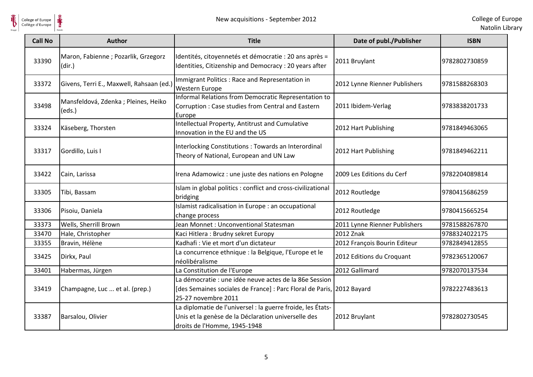

| <b>Call No</b> | <b>Author</b>                                  | <b>Title</b>                                                                                                                                           | Date of publ./Publisher       | <b>ISBN</b>   |
|----------------|------------------------------------------------|--------------------------------------------------------------------------------------------------------------------------------------------------------|-------------------------------|---------------|
| 33390          | Maron, Fabienne ; Pozarlik, Grzegorz<br>(dir.) | Identités, citoyennetés et démocratie : 20 ans après =<br>Identities, Citizenship and Democracy : 20 years after                                       | 2011 Bruylant                 | 9782802730859 |
| 33372          | Givens, Terri E., Maxwell, Rahsaan (ed.)       | Immigrant Politics: Race and Representation in<br>Western Europe                                                                                       | 2012 Lynne Rienner Publishers | 9781588268303 |
| 33498          | Mansfeldová, Zdenka; Pleines, Heiko<br>(eds.)  | Informal Relations from Democratic Representation to<br>Corruption: Case studies from Central and Eastern<br>Europe                                    | 2011 Ibidem-Verlag            | 9783838201733 |
| 33324          | Käseberg, Thorsten                             | Intellectual Property, Antitrust and Cumulative<br>Innovation in the EU and the US                                                                     | 2012 Hart Publishing          | 9781849463065 |
| 33317          | Gordillo, Luis I                               | Interlocking Constitutions : Towards an Interordinal<br>Theory of National, European and UN Law                                                        | 2012 Hart Publishing          | 9781849462211 |
| 33422          | Cain, Larissa                                  | Irena Adamowicz : une juste des nations en Pologne                                                                                                     | 2009 Les Editions du Cerf     | 9782204089814 |
| 33305          | Tibi, Bassam                                   | Islam in global politics : conflict and cross-civilizational<br>bridging                                                                               | 2012 Routledge                | 9780415686259 |
| 33306          | Pisoiu, Daniela                                | Islamist radicalisation in Europe : an occupational<br>change process                                                                                  | 2012 Routledge                | 9780415665254 |
| 33373          | Wells, Sherrill Brown                          | Jean Monnet: Unconventional Statesman                                                                                                                  | 2011 Lynne Rienner Publishers | 9781588267870 |
| 33470          | Hale, Christopher                              | Kaci Hitlera: Brudny sekret Europy                                                                                                                     | 2012 Znak                     | 9788324022175 |
| 33355          | Bravin, Hélène                                 | Kadhafi: Vie et mort d'un dictateur                                                                                                                    | 2012 François Bourin Editeur  | 9782849412855 |
| 33425          | Dirkx, Paul                                    | La concurrence ethnique : la Belgique, l'Europe et le<br>néolibéralisme                                                                                | 2012 Editions du Croquant     | 9782365120067 |
| 33401          | Habermas, Jürgen                               | La Constitution de l'Europe                                                                                                                            | 2012 Gallimard                | 9782070137534 |
| 33419          | Champagne, Luc  et al. (prep.)                 | La démocratie : une idée neuve actes de la 86e Session<br>[des Semaines sociales de France] : Parc Floral de Paris, 2012 Bayard<br>25-27 novembre 2011 |                               | 9782227483613 |
| 33387          | Barsalou, Olivier                              | La diplomatie de l'universel : la guerre froide, les États-<br>Unis et la genèse de la Déclaration universelle des<br>droits de l'Homme, 1945-1948     | 2012 Bruylant                 | 9782802730545 |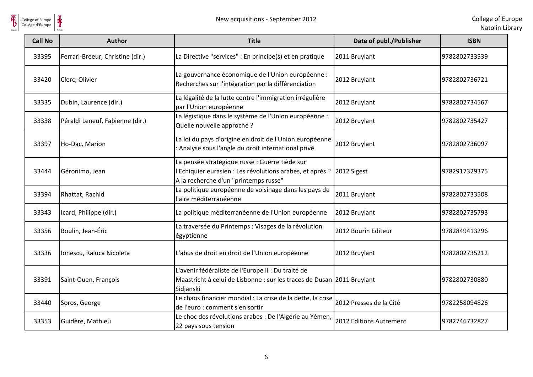

Natolin Library

| College of Europe<br>Collège d'Europe | New acquisitions - September 2012 |                                                                                                                                                      |                         | College of Eur<br>Natolin Lib |
|---------------------------------------|-----------------------------------|------------------------------------------------------------------------------------------------------------------------------------------------------|-------------------------|-------------------------------|
| <b>Call No</b>                        | <b>Author</b>                     | <b>Title</b>                                                                                                                                         | Date of publ./Publisher | <b>ISBN</b>                   |
| 33395                                 | Ferrari-Breeur, Christine (dir.)  | La Directive "services" : En principe(s) et en pratique                                                                                              | 2011 Bruylant           | 9782802733539                 |
| 33420                                 | Clerc, Olivier                    | La gouvernance économique de l'Union européenne :<br>Recherches sur l'intégration par la différenciation                                             | 2012 Bruylant           | 9782802736721                 |
| 33335                                 | Dubin, Laurence (dir.)            | La légalité de la lutte contre l'immigration irrégulière<br>par l'Union européenne                                                                   | 2012 Bruylant           | 9782802734567                 |
| 33338                                 | Péraldi Leneuf, Fabienne (dir.)   | La légistique dans le système de l'Union européenne :<br>Quelle nouvelle approche ?                                                                  | 2012 Bruylant           | 9782802735427                 |
| 33397                                 | Ho-Dac, Marion                    | La loi du pays d'origine en droit de l'Union européenne<br>Analyse sous l'angle du droit international privé                                         | 2012 Bruylant           | 9782802736097                 |
| 33444                                 | Géronimo, Jean                    | La pensée stratégique russe : Guerre tiède sur<br>l'Echiquier eurasien : Les révolutions arabes, et après ?<br>A la recherche d'un "printemps russe" | 2012 Sigest             | 9782917329375                 |
| 33394                                 | Rhattat, Rachid                   | La politique européenne de voisinage dans les pays de<br>l'aire méditerranéenne                                                                      | 2011 Bruylant           | 9782802733508                 |
| 33343                                 | Icard, Philippe (dir.)            | La politique méditerranéenne de l'Union européenne                                                                                                   | 2012 Bruylant           | 9782802735793                 |
| 33356                                 | Boulin, Jean-Éric                 | La traversée du Printemps : Visages de la révolution<br>égyptienne                                                                                   | 2012 Bourin Editeur     | 9782849413296                 |
| 33336                                 | Ionescu, Raluca Nicoleta          | L'abus de droit en droit de l'Union européenne                                                                                                       | 2012 Bruylant           | 9782802735212                 |
| 33391                                 | Saint-Ouen, François              | L'avenir fédéraliste de l'Europe II : Du traité de<br>Maastricht à celui de Lisbonne : sur les traces de Dusan 2011 Bruylant<br>Sidjanski            |                         | 9782802730880                 |
| 33440                                 | Soros, George                     | Le chaos financier mondial : La crise de la dette, la crise<br>de l'euro : comment s'en sortir                                                       | 2012 Presses de la Cité | 9782258094826                 |
| 33353                                 | Guidère, Mathieu                  | Le choc des révolutions arabes : De l'Algérie au Yémen,<br>22 pays sous tension                                                                      | 2012 Editions Autrement | 9782746732827                 |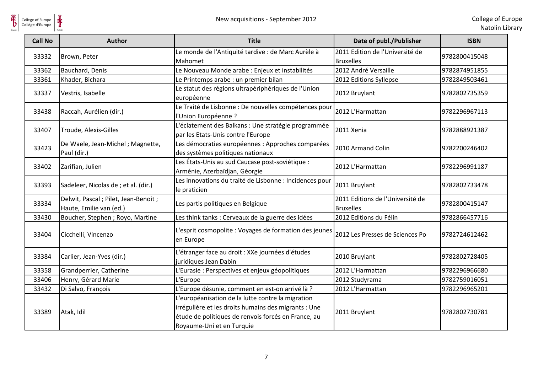

| <b>Call No</b> | <b>Author</b>                                                    | <b>Title</b>                                                                                                                                                                                  | Date of publ./Publisher                              | <b>ISBN</b>   |
|----------------|------------------------------------------------------------------|-----------------------------------------------------------------------------------------------------------------------------------------------------------------------------------------------|------------------------------------------------------|---------------|
| 33332          | Brown, Peter                                                     | Le monde de l'Antiquité tardive : de Marc Aurèle à<br>Mahomet                                                                                                                                 | 2011 Edition de l'Université de<br><b>Bruxelles</b>  | 9782800415048 |
| 33362          | Bauchard, Denis                                                  | Le Nouveau Monde arabe : Enjeux et instabilités                                                                                                                                               | 2012 André Versaille                                 | 9782874951855 |
| 33361          | Khader, Bichara                                                  | Le Printemps arabe : un premier bilan                                                                                                                                                         | 2012 Editions Syllepse                               | 9782849503461 |
| 33337          | Vestris, Isabelle                                                | Le statut des régions ultrapériphériques de l'Union<br>européenne                                                                                                                             | 2012 Bruylant                                        | 9782802735359 |
| 33438          | Raccah, Aurélien (dir.)                                          | Le Traité de Lisbonne : De nouvelles compétences pour<br>l'Union Européenne ?                                                                                                                 | 2012 L'Harmattan                                     | 9782296967113 |
| 33407          | Troude, Alexis-Gilles                                            | L'éclatement des Balkans : Une stratégie programmée<br>par les Etats-Unis contre l'Europe                                                                                                     | 2011 Xenia                                           | 9782888921387 |
| 33423          | De Waele, Jean-Michel; Magnette,<br>Paul (dir.)                  | Les démocraties européennes : Approches comparées<br>des systèmes politiques nationaux                                                                                                        | 2010 Armand Colin                                    | 9782200246402 |
| 33402          | Zarifian, Julien                                                 | Les États-Unis au sud Caucase post-soviétique :<br>Arménie, Azerbaïdjan, Géorgie                                                                                                              | 2012 L'Harmattan                                     | 9782296991187 |
| 33393          | Sadeleer, Nicolas de ; et al. (dir.)                             | Les innovations du traité de Lisbonne : Incidences pour<br>le praticien                                                                                                                       | 2011 Bruylant                                        | 9782802733478 |
| 33334          | Delwit, Pascal ; Pilet, Jean-Benoit ;<br>Haute, Emilie van (ed.) | Les partis politiques en Belgique                                                                                                                                                             | 2011 Editions de l'Université de<br><b>Bruxelles</b> | 9782800415147 |
| 33430          | Boucher, Stephen ; Royo, Martine                                 | Les think tanks : Cerveaux de la guerre des idées                                                                                                                                             | 2012 Editions du Félin                               | 9782866457716 |
| 33404          | Cicchelli, Vincenzo                                              | L'esprit cosmopolite : Voyages de formation des jeunes<br>en Europe                                                                                                                           | 2012 Les Presses de Sciences Po                      | 9782724612462 |
| 33384          | Carlier, Jean-Yves (dir.)                                        | L'étranger face au droit : XXe journées d'études<br>juridiques Jean Dabin                                                                                                                     | 2010 Bruylant                                        | 9782802728405 |
| 33358          | Grandperrier, Catherine                                          | L'Eurasie : Perspectives et enjeux géopolitiques                                                                                                                                              | 2012 L'Harmattan                                     | 9782296966680 |
| 33406          | Henry, Gérard Marie                                              | L'Europe                                                                                                                                                                                      | 2012 Studyrama                                       | 9782759016051 |
| 33432          | Di Salvo, François                                               | L'Europe désunie, comment en est-on arrivé là ?                                                                                                                                               | 2012 L'Harmattan                                     | 9782296965201 |
| 33389          | Atak, Idil                                                       | L'européanisation de la lutte contre la migration<br>irrégulière et les droits humains des migrants : Une<br>étude de politiques de renvois forcés en France, au<br>Royaume-Uni et en Turquie | 2011 Bruylant                                        | 9782802730781 |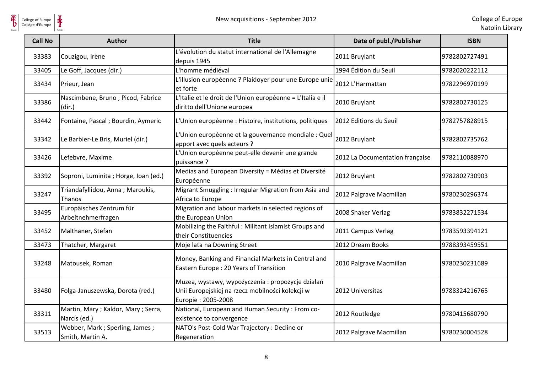

| <b>Call No</b> | <b>Author</b>                                        | <b>Title</b>                                                                                                               | Date of publ./Publisher         | <b>ISBN</b>   |
|----------------|------------------------------------------------------|----------------------------------------------------------------------------------------------------------------------------|---------------------------------|---------------|
| 33383          | Couzigou, Irène                                      | L'évolution du statut international de l'Allemagne<br>depuis 1945                                                          | 2011 Bruylant                   | 9782802727491 |
| 33405          | Le Goff, Jacques (dir.)                              | L'homme médiéval                                                                                                           | 1994 Édition du Seuil           | 9782020222112 |
| 33434          | Prieur, Jean                                         | L'illusion européenne ? Plaidoyer pour une Europe unie<br>et forte                                                         | 2012 L'Harmattan                | 9782296970199 |
| 33386          | Nascimbene, Bruno; Picod, Fabrice<br>(dir.)          | L'Italie et le droit de l'Union européenne = L'Italia e il<br>diritto dell'Unione europea                                  | 2010 Bruylant                   | 9782802730125 |
| 33442          | Fontaine, Pascal; Bourdin, Aymeric                   | L'Union européenne : Histoire, institutions, politiques                                                                    | 2012 Editions du Seuil          | 9782757828915 |
| 33342          | Le Barbier-Le Bris, Muriel (dir.)                    | L'Union européenne et la gouvernance mondiale : Quel<br>apport avec quels acteurs ?                                        | 2012 Bruylant                   | 9782802735762 |
| 33426          | Lefebvre, Maxime                                     | L'Union européenne peut-elle devenir une grande<br>puissance ?                                                             | 2012 La Documentation française | 9782110088970 |
| 33392          | Soproni, Luminita ; Horge, Ioan (ed.)                | Medias and European Diversity = Médias et Diversité<br>Européenne                                                          | 2012 Bruylant                   | 9782802730903 |
| 33247          | Triandafyllidou, Anna; Maroukis,<br>Thanos           | Migrant Smuggling: Irregular Migration from Asia and<br>Africa to Europe                                                   | 2012 Palgrave Macmillan         | 9780230296374 |
| 33495          | Europäisches Zentrum für<br>Arbeitnehmerfragen       | Migration and labour markets in selected regions of<br>the European Union                                                  | 2008 Shaker Verlag              | 9783832271534 |
| 33452          | Malthaner, Stefan                                    | Mobilizing the Faithful: Militant Islamist Groups and<br>their Constituencies                                              | 2011 Campus Verlag              | 9783593394121 |
| 33473          | Thatcher, Margaret                                   | Moje lata na Downing Street                                                                                                | 2012 Dream Books                | 9788393459551 |
| 33248          | Matousek, Roman                                      | Money, Banking and Financial Markets in Central and<br>Eastern Europe: 20 Years of Transition                              | 2010 Palgrave Macmillan         | 9780230231689 |
| 33480          | Folga-Januszewska, Dorota (red.)                     | Muzea, wystawy, wypożyczenia: propozycje działań<br>Unii Europejskiej na rzecz mobilności kolekcji w<br>Europie: 2005-2008 | 2012 Universitas                | 9788324216765 |
| 33311          | Martin, Mary; Kaldor, Mary; Serra,<br>Narcís (ed.)   | National, European and Human Security : From co-<br>existence to convergence                                               | 2012 Routledge                  | 9780415680790 |
| 33513          | Webber, Mark ; Sperling, James ;<br>Smith, Martin A. | NATO's Post-Cold War Trajectory : Decline or<br>Regeneration                                                               | 2012 Palgrave Macmillan         | 9780230004528 |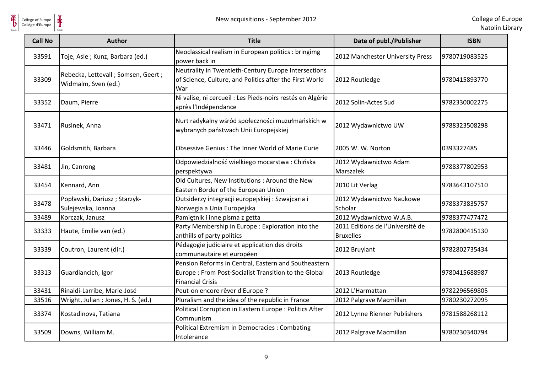

| <b>Call No</b> | <b>Author</b>                                               | <b>Title</b>                                                                                                                            | Date of publ./Publisher                              | <b>ISBN</b>   |
|----------------|-------------------------------------------------------------|-----------------------------------------------------------------------------------------------------------------------------------------|------------------------------------------------------|---------------|
| 33591          | Toje, Asle; Kunz, Barbara (ed.)                             | Neoclassical realism in European politics : bringimg<br>power back in                                                                   | 2012 Manchester University Press                     | 9780719083525 |
| 33309          | Rebecka, Lettevall ; Somsen, Geert ;<br>Widmalm, Sven (ed.) | Neutrality in Twentieth-Century Europe Intersections<br>of Science, Culture, and Politics after the First World<br>War                  | 2012 Routledge                                       | 9780415893770 |
| 33352          | Daum, Pierre                                                | Ni valise, ni cercueil : Les Pieds-noirs restés en Algérie<br>après l'Indépendance                                                      | 2012 Solin-Actes Sud                                 | 9782330002275 |
| 33471          | Rusinek, Anna                                               | Nurt radykalny wśród społeczności muzułmańskich w<br>wybranych państwach Unii Europejskiej                                              | 2012 Wydawnictwo UW                                  | 9788323508298 |
| 33446          | Goldsmith, Barbara                                          | Obsessive Genius: The Inner World of Marie Curie                                                                                        | 2005 W. W. Norton                                    | 0393327485    |
| 33481          | Jin, Canrong                                                | Odpowiedzialność wielkiego mocarstwa: Chińska<br>perspektywa                                                                            | 2012 Wydawnictwo Adam<br>Marszałek                   | 9788377802953 |
| 33454          | Kennard, Ann                                                | Old Cultures, New Institutions : Around the New<br>Eastern Border of the European Union                                                 | 2010 Lit Verlag                                      | 9783643107510 |
| 33478          | Popławski, Dariusz; Starzyk-<br>Sulejewska, Joanna          | Outsiderzy integracji europejskiej: Szwajcaria i<br>Norwegia a Unia Europejska                                                          | 2012 Wydawnictwo Naukowe<br>Scholar                  | 9788373835757 |
| 33489          | Korczak, Janusz                                             | Pamiętnik i inne pisma z getta                                                                                                          | 2012 Wydawnictwo W.A.B.                              | 9788377477472 |
| 33333          | Haute, Emilie van (ed.)                                     | Party Membership in Europe: Exploration into the<br>anthills of party politics                                                          | 2011 Editions de l'Université de<br><b>Bruxelles</b> | 9782800415130 |
| 33339          | Coutron, Laurent (dir.)                                     | Pédagogie judiciaire et application des droits<br>communautaire et européen                                                             | 2012 Bruylant                                        | 9782802735434 |
| 33313          | Guardiancich, Igor                                          | Pension Reforms in Central, Eastern and Southeastern<br>Europe: From Post-Socialist Transition to the Global<br><b>Financial Crisis</b> | 2013 Routledge                                       | 9780415688987 |
| 33431          | Rinaldi-Larribe, Marie-José                                 | Peut-on encore rêver d'Europe ?                                                                                                         | 2012 L'Harmattan                                     | 9782296569805 |
| 33516          | Wright, Julian ; Jones, H. S. (ed.)                         | Pluralism and the idea of the republic in France                                                                                        | 2012 Palgrave Macmillan                              | 9780230272095 |
| 33374          | Kostadinova, Tatiana                                        | Political Corruption in Eastern Europe : Politics After<br>Communism                                                                    | 2012 Lynne Rienner Publishers                        | 9781588268112 |
| 33509          | Downs, William M.                                           | <b>Political Extremism in Democracies: Combating</b><br>Intolerance                                                                     | 2012 Palgrave Macmillan                              | 9780230340794 |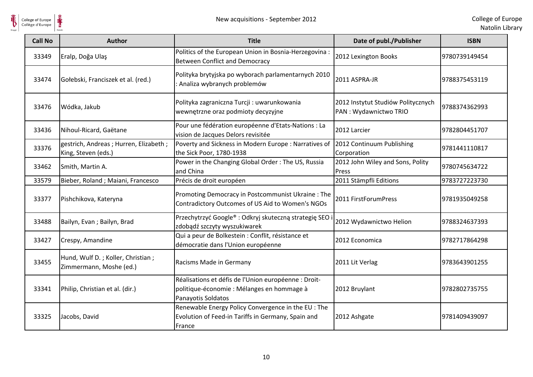

| <b>Call No</b> | <b>Author</b>                                                | <b>Title</b>                                                                                                             | Date of publ./Publisher                                     | <b>ISBN</b>   |
|----------------|--------------------------------------------------------------|--------------------------------------------------------------------------------------------------------------------------|-------------------------------------------------------------|---------------|
| 33349          | Eralp, Doğa Ulaş                                             | Politics of the European Union in Bosnia-Herzegovina :<br><b>Between Conflict and Democracy</b>                          | 2012 Lexington Books                                        | 9780739149454 |
| 33474          | Gołebski, Franciszek et al. (red.)                           | Polityka brytyjska po wyborach parlamentarnych 2010<br>: Analiza wybranych problemów                                     | 2011 ASPRA-JR                                               | 9788375453119 |
| 33476          | Wódka, Jakub                                                 | Polityka zagraniczna Turcji: uwarunkowania<br>wewnętrzne oraz podmioty decyzyjne                                         | 2012 Instytut Studiów Politycznych<br>PAN: Wydawnictwo TRIO | 9788374362993 |
| 33436          | Nihoul-Ricard, Gaëtane                                       | Pour une fédération européenne d'Etats-Nations : La<br>vision de Jacques Delors revisitée                                | 2012 Larcier                                                | 9782804451707 |
| 33376          | gestrich, Andreas; Hurren, Elizabeth;<br>King, Steven (eds.) | Poverty and Sickness in Modern Europe: Narratives of<br>the Sick Poor, 1780-1938                                         | 2012 Continuum Publishing<br>Corporation                    | 9781441110817 |
| 33462          | Smith, Martin A.                                             | Power in the Changing Global Order: The US, Russia<br>and China                                                          | 2012 John Wiley and Sons, Polity<br>Press                   | 9780745634722 |
| 33579          | Bieber, Roland ; Maiani, Francesco                           | Précis de droit européen                                                                                                 | 2011 Stämpfli Editions                                      | 9783727223730 |
| 33377          | Pishchikova, Kateryna                                        | Promoting Democracy in Postcommunist Ukraine: The<br>Contradictory Outcomes of US Aid to Women's NGOs                    | 2011 FirstForumPress                                        | 9781935049258 |
| 33488          | Bailyn, Evan; Bailyn, Brad                                   | Przechytrzyć Google®: Odkryj skuteczną strategię SEO<br>zdobądź szczyty wyszukiwarek                                     | 2012 Wydawnictwo Helion                                     | 9788324637393 |
| 33427          | Crespy, Amandine                                             | Qui a peur de Bolkestein : Conflit, résistance et<br>démocratie dans l'Union européenne                                  | 2012 Economica                                              | 9782717864298 |
| 33455          | Hund, Wulf D.; Koller, Christian;<br>Zimmermann, Moshe (ed.) | Racisms Made in Germany                                                                                                  | 2011 Lit Verlag                                             | 9783643901255 |
| 33341          | Philip, Christian et al. (dir.)                              | Réalisations et défis de l'Union européenne : Droit-<br>politique-économie : Mélanges en hommage à<br>Panayotis Soldatos | 2012 Bruylant                                               | 9782802735755 |
| 33325          | Jacobs, David                                                | Renewable Energy Policy Convergence in the EU : The<br>Evolution of Feed-in Tariffs in Germany, Spain and<br>France      | 2012 Ashgate                                                | 9781409439097 |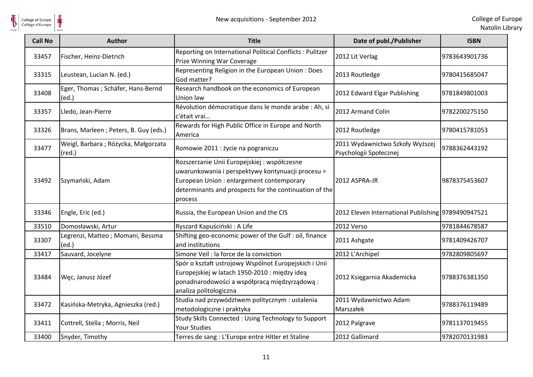

| <b>Call No</b> | <b>Author</b>                                          | <b>Title</b>                                                                                                                                                                                                        | Date of publ./Publisher                                   | <b>ISBN</b>   |
|----------------|--------------------------------------------------------|---------------------------------------------------------------------------------------------------------------------------------------------------------------------------------------------------------------------|-----------------------------------------------------------|---------------|
| 33457          | Fischer, Heinz-Dietrich                                | Reporting on International Political Conflicts : Pulitzer<br>Prize Winning War Coverage                                                                                                                             | 2012 Lit Verlag                                           | 9783643901736 |
| 33315          | Leustean, Lucian N. (ed.)                              | Representing Religion in the European Union: Does<br>God matter?                                                                                                                                                    | 2013 Routledge                                            | 9780415685047 |
| 33408          | Eger, Thomas ; Schäfer, Hans-Bernd<br>(ed.)            | Research handbook on the economics of European<br>Union law                                                                                                                                                         | 2012 Edward Elgar Publishing                              | 9781849801003 |
| 33357          | Lledo, Jean-Pierre                                     | Révolution démocratique dans le monde arabe : Ah, si<br>c'était vrai                                                                                                                                                | 2012 Armand Colin                                         | 9782200275150 |
| 33326          | Brans, Marleen; Peters, B. Guy (eds.)                  | Rewards for High Public Office in Europe and North<br>America                                                                                                                                                       | 2012 Routledge                                            | 9780415781053 |
| 33477          | Weigl, Barbara; Różycka, Małgorzata<br>$(\text{red.})$ | Romowie 2011 : życie na pograniczu                                                                                                                                                                                  | 2011 Wydawnictwo Szkoły Wyższej<br>Psychologii Społecznej | 9788362443192 |
| 33492          | Szymański, Adam                                        | Rozszerzanie Unii Europejskiej : współczesne<br>uwarunkowania i perspektywy kontynuacji procesu =<br>European Union : enlargement contemporary<br>determinants and prospects for the continuation of the<br>process | 2012 ASPRA-JR                                             | 9878375453607 |
| 33346          | Engle, Eric (ed.)                                      | Russia, the European Union and the CIS                                                                                                                                                                              | 2012 Eleven International Publishing 9789490947521        |               |
| 33510          | Domosławski, Artur                                     | Ryszard Kapuściński: A Life                                                                                                                                                                                         | 2012 Verso                                                | 9781844678587 |
| 33307          | Legrenzi, Matteo; Momani, Bessma<br>(ed.)              | Shifting geo-economic power of the Gulf : oil, finance<br>and institutions                                                                                                                                          | 2011 Ashgate                                              | 9781409426707 |
| 33417          | Sauvard, Jocelyne                                      | Simone Veil : la force de la conviction                                                                                                                                                                             | 2012 L'Archipel                                           | 9782809805697 |
| 33484          | Węc, Janusz Józef                                      | Spór o kształt ustrojowy Wspólnot Europejskich i Unii<br>Europejskiej w latach 1950-2010 : między ideą<br>ponadnarodowości a współpracą międzyrządową:<br>analiza politologiczna                                    | 2012 Księgarnia Akademicka                                | 9788376381350 |
| 33472          | Kasińska-Metryka, Agnieszka (red.)                     | Studia nad przywództwem politycznym : ustalenia<br>metodologiczne i praktyka                                                                                                                                        | 2011 Wydawnictwo Adam<br>Marszałek                        | 9788376119489 |
| 33411          | Cottrell, Stella; Morris, Neil                         | Study Skills Connected: Using Technology to Support<br><b>Your Studies</b>                                                                                                                                          | 2012 Palgrave                                             | 9781137019455 |
| 33400          | Snyder, Timothy                                        | Terres de sang : L'Europe entre Hitler et Staline                                                                                                                                                                   | 2012 Gallimard                                            | 9782070131983 |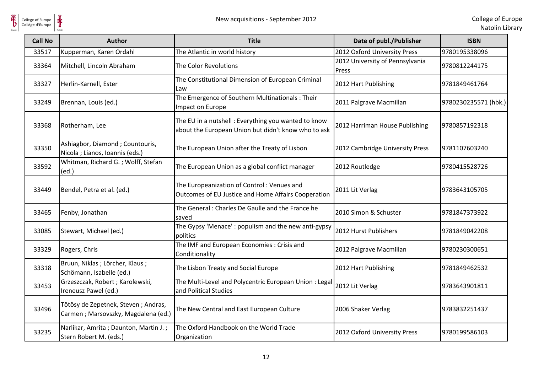

| <b>Call No</b> | <b>Author</b>                                                              | <b>Title</b>                                                                                                | Date of publ./Publisher                  | <b>ISBN</b>          |
|----------------|----------------------------------------------------------------------------|-------------------------------------------------------------------------------------------------------------|------------------------------------------|----------------------|
| 33517          | Kupperman, Karen Ordahl                                                    | The Atlantic in world history                                                                               | 2012 Oxford University Press             | 9780195338096        |
| 33364          | Mitchell, Lincoln Abraham                                                  | The Color Revolutions                                                                                       | 2012 University of Pennsylvania<br>Press | 9780812244175        |
| 33327          | Herlin-Karnell, Ester                                                      | The Constitutional Dimension of European Criminal<br>Law                                                    | 2012 Hart Publishing                     | 9781849461764        |
| 33249          | Brennan, Louis (ed.)                                                       | The Emergence of Southern Multinationals: Their<br>Impact on Europe                                         | 2011 Palgrave Macmillan                  | 9780230235571 (hbk.) |
| 33368          | Rotherham, Lee                                                             | The EU in a nutshell : Everything you wanted to know<br>about the European Union but didn't know who to ask | 2012 Harriman House Publishing           | 9780857192318        |
| 33350          | Ashiagbor, Diamond ; Countouris,<br>Nicola ; Lianos, Ioannis (eds.)        | The European Union after the Treaty of Lisbon                                                               | 2012 Cambridge University Press          | 9781107603240        |
| 33592          | Whitman, Richard G.; Wolff, Stefan<br>(ed.)                                | The European Union as a global conflict manager                                                             | 2012 Routledge                           | 9780415528726        |
| 33449          | Bendel, Petra et al. (ed.)                                                 | The Europeanization of Control: Venues and<br>Outcomes of EU Justice and Home Affairs Cooperation           | 2011 Lit Verlag                          | 9783643105705        |
| 33465          | Fenby, Jonathan                                                            | The General: Charles De Gaulle and the France he<br>saved                                                   | 2010 Simon & Schuster                    | 9781847373922        |
| 33085          | Stewart, Michael (ed.)                                                     | The Gypsy 'Menace': populism and the new anti-gypsy<br>politics                                             | 2012 Hurst Publishers                    | 9781849042208        |
| 33329          | Rogers, Chris                                                              | The IMF and European Economies : Crisis and<br>Conditionality                                               | 2012 Palgrave Macmillan                  | 9780230300651        |
| 33318          | Bruun, Niklas; Lörcher, Klaus;<br>Schömann, Isabelle (ed.)                 | The Lisbon Treaty and Social Europe                                                                         | 2012 Hart Publishing                     | 9781849462532        |
| 33453          | Grzeszczak, Robert ; Karolewski,<br>Ireneusz Pawel (ed.)                   | The Multi-Level and Polycentric European Union: Legal<br>and Political Studies                              | 2012 Lit Verlag                          | 9783643901811        |
| 33496          | Tötösy de Zepetnek, Steven; Andras,<br>Carmen; Marsovszky, Magdalena (ed.) | The New Central and East European Culture                                                                   | 2006 Shaker Verlag                       | 9783832251437        |
| 33235          | Narlikar, Amrita; Daunton, Martin J.;<br>Stern Robert M. (eds.)            | The Oxford Handbook on the World Trade<br>Organization                                                      | 2012 Oxford University Press             | 9780199586103        |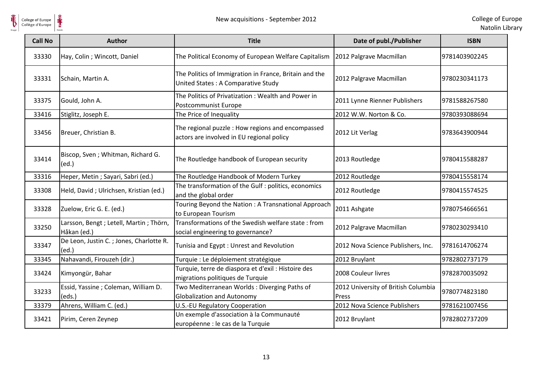

| <b>Call No</b> | <b>Author</b>                                              | <b>Title</b>                                                                                   | Date of publ./Publisher                      | <b>ISBN</b>   |
|----------------|------------------------------------------------------------|------------------------------------------------------------------------------------------------|----------------------------------------------|---------------|
| 33330          | Hay, Colin ; Wincott, Daniel                               | The Political Economy of European Welfare Capitalism                                           | 2012 Palgrave Macmillan                      | 9781403902245 |
| 33331          | Schain, Martin A.                                          | The Politics of Immigration in France, Britain and the<br>United States: A Comparative Study   | 2012 Palgrave Macmillan                      | 9780230341173 |
| 33375          | Gould, John A.                                             | The Politics of Privatization: Wealth and Power in<br>Postcommunist Europe                     | 2011 Lynne Rienner Publishers                | 9781588267580 |
| 33416          | Stiglitz, Joseph E.                                        | The Price of Inequality                                                                        | 2012 W.W. Norton & Co.                       | 9780393088694 |
| 33456          | Breuer, Christian B.                                       | The regional puzzle : How regions and encompassed<br>actors are involved in EU regional policy | 2012 Lit Verlag                              | 9783643900944 |
| 33414          | Biscop, Sven; Whitman, Richard G.<br>(ed.)                 | The Routledge handbook of European security                                                    | 2013 Routledge                               | 9780415588287 |
| 33316          | Heper, Metin ; Sayari, Sabri (ed.)                         | The Routledge Handbook of Modern Turkey                                                        | 2012 Routledge                               | 9780415558174 |
| 33308          | Held, David; Ulrichsen, Kristian (ed.)                     | The transformation of the Gulf : politics, economics<br>and the global order                   | 2012 Routledge                               | 9780415574525 |
| 33328          | Zuelow, Eric G. E. (ed.)                                   | Touring Beyond the Nation: A Transnational Approach<br>to European Tourism                     | 2011 Ashgate                                 | 9780754666561 |
| 33250          | Larsson, Bengt; Letell, Martin; Thörn,<br>Håkan (ed.)      | Transformations of the Swedish welfare state: from<br>social engineering to governance?        | 2012 Palgrave Macmillan                      | 9780230293410 |
| 33347          | De Leon, Justin C.; Jones, Charlotte R.<br>$\text{ (ed.)}$ | Tunisia and Egypt: Unrest and Revolution                                                       | 2012 Nova Science Publishers, Inc.           | 9781614706274 |
| 33345          | Nahavandi, Firouzeh (dir.)                                 | Turquie : Le déploiement stratégique                                                           | 2012 Bruylant                                | 9782802737179 |
| 33424          | Kimyongür, Bahar                                           | Turquie, terre de diaspora et d'exil : Histoire des<br>migrations politiques de Turquie        | 2008 Couleur livres                          | 9782870035092 |
| 33233          | Essid, Yassine ; Coleman, William D.<br>(eds.)             | Two Mediterranean Worlds: Diverging Paths of<br><b>Globalization and Autonomy</b>              | 2012 University of British Columbia<br>Press | 9780774823180 |
| 33379          | Ahrens, William C. (ed.)                                   | U.S.-EU Regulatory Cooperation                                                                 | 2012 Nova Science Publishers                 | 9781621007456 |
| 33421          | Pirim, Ceren Zeynep                                        | Un exemple d'association à la Communauté<br>européenne : le cas de la Turquie                  | 2012 Bruylant                                | 9782802737209 |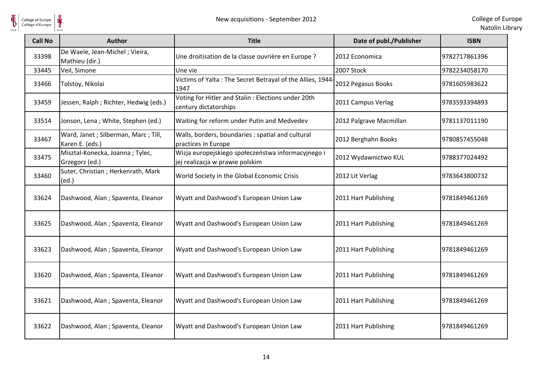| College of Europe<br>Collège d'Europe | ⋕<br>New acquisitions - September 2012                 |                                                                                       |                         | College of Eur<br>Natolin Lib |
|---------------------------------------|--------------------------------------------------------|---------------------------------------------------------------------------------------|-------------------------|-------------------------------|
| <b>Call No</b>                        | <b>Author</b>                                          | <b>Title</b>                                                                          | Date of publ./Publisher | <b>ISBN</b>                   |
| 33398                                 | De Waele, Jean-Michel; Vieira,<br>Mathieu (dir.)       | Une droitisation de la classe ouvrière en Europe ?                                    | 2012 Economica          | 9782717861396                 |
| 33445                                 | Veil, Simone                                           | Une vie                                                                               | 2007 Stock              | 9782234058170                 |
| 33466                                 | Tolstoy, Nikolai                                       | Victims of Yalta: The Secret Betrayal of the Allies, 1944-<br>1947                    | 2012 Pegasus Books      | 9781605983622                 |
| 33459                                 | Jessen, Ralph ; Richter, Hedwig (eds.)                 | Voting for Hitler and Stalin : Elections under 20th<br>century dictatorships          | 2011 Campus Verlag      | 9783593394893                 |
| 33514                                 | Jonson, Lena; White, Stephen (ed.)                     | Waiting for reform under Putin and Medvedev                                           | 2012 Palgrave Macmillan | 9781137011190                 |
| 33467                                 | Ward, Janet; Silberman, Marc; Till,<br>Karen E. (eds.) | Walls, borders, boundaries : spatial and cultural<br>practices in Europe              | 2012 Berghahn Books     | 9780857455048                 |
| 33475                                 | Misztal-Konecka, Joanna; Tylec,<br>Grzegorz (ed.)      | Wizja europejskiego społeczeństwa informacyjnego i<br>jej realizacja w prawie polskim | 2012 Wydawnictwo KUL    | 9788377024492                 |
| 33460                                 | Suter, Christian ; Herkenrath, Mark<br>(ed.)           | World Society in the Global Economic Crisis                                           | 2012 Lit Verlag         | 9783643800732                 |
| 33624                                 | Dashwood, Alan; Spaventa, Eleanor                      | Wyatt and Dashwood's European Union Law                                               | 2011 Hart Publishing    | 9781849461269                 |
| 33625                                 | Dashwood, Alan; Spaventa, Eleanor                      | Wyatt and Dashwood's European Union Law                                               | 2011 Hart Publishing    | 9781849461269                 |
| 33623                                 | Dashwood, Alan; Spaventa, Eleanor                      | Wyatt and Dashwood's European Union Law                                               | 2011 Hart Publishing    | 9781849461269                 |
| 33620                                 | Dashwood, Alan; Spaventa, Eleanor                      | Wyatt and Dashwood's European Union Law                                               | 2011 Hart Publishing    | 9781849461269                 |
| 33621                                 | Dashwood, Alan; Spaventa, Eleanor                      | Wyatt and Dashwood's European Union Law                                               | 2011 Hart Publishing    | 9781849461269                 |
| 33622                                 | Dashwood, Alan; Spaventa, Eleanor                      | Wyatt and Dashwood's European Union Law                                               | 2011 Hart Publishing    | 9781849461269                 |